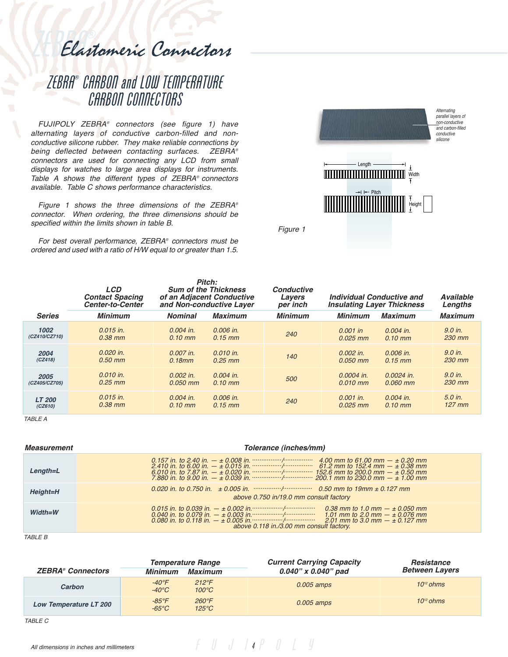Elastomeric Connectors

# ZEBRA® CARBON and LOW TEMPERATURE CARBON CONNECTORS

FUJIPOLY ZEBRA® connectors (see figure 1) have alternating layers of conductive carbon-filled and nonconductive silicone rubber. They make reliable connections by being deflected between contacting surfaces. ZEBRA® connectors are used for connecting any LCD from small displays for watches to large area displays for instruments. Table A shows the different types of ZEBRA® connectors available. Table C shows performance characteristics.

Figure 1 shows the three dimensions of the ZEBRA® connector. When ordering, the three dimensions should be specified within the limits shown in table B.

For best overall performance, ZEBRA® connectors must be ordered and used with a ratio of H/W equal to or greater than 1.5.



Figure 1

|               | <b>LCD</b><br><b>Contact Spacing</b><br><b>Center-to-Center</b> | Pitch:<br><b>Sum of the Thickness</b><br>of an Adjacent Conductive<br>and Non-conductive Layer |                | <b>Conductive</b><br>Individual Conductive and<br>Lavers<br>per inch<br><b>Insulating Layer Thickness</b> |                | <b>Available</b><br>Lengths |                |
|---------------|-----------------------------------------------------------------|------------------------------------------------------------------------------------------------|----------------|-----------------------------------------------------------------------------------------------------------|----------------|-----------------------------|----------------|
| <b>Series</b> | <b>Minimum</b>                                                  | <b>Nominal</b>                                                                                 | <b>Maximum</b> | <b>Minimum</b>                                                                                            | <b>Minimum</b> | <b>Maximum</b>              | <b>Maximum</b> |
| 1002          | $0.015$ in.                                                     | $0.004$ in.                                                                                    | $0.006$ in.    | 240                                                                                                       | $0.001$ in     | $0.004$ in.                 | 9.0 in.        |
| (CZ410/CZ710) | $0.38$ mm                                                       | $0.10 \, \text{mm}$                                                                            | $0.15$ mm      |                                                                                                           | $0.025$ mm     | $0.10$ mm                   | 230 mm         |
| 2004          | $0.020$ in.                                                     | 0.007 in.                                                                                      | $0.010$ in.    | 140                                                                                                       | $0.002$ in.    | 0.006 in.                   | 9.0 in.        |
| (CZ418)       | $0.50$ mm                                                       | $0.18$ mm                                                                                      | $0.25$ mm      |                                                                                                           | $0.050$ mm     | $0.15$ mm                   | 230 mm         |
| 2005          | $0.010$ in.                                                     | $0.002$ in.                                                                                    | $0.004$ in.    | 500                                                                                                       | 0.0004 in.     | $0.0024$ in.                | $9.0$ in.      |
| (CZ405/CZ705) | $0.25$ mm                                                       | $0.050$ mm                                                                                     | $0.10$ mm      |                                                                                                           | $0.010$ mm     | $0.060$ mm                  | 230 mm         |
| <b>LT 200</b> | $0.015$ in.                                                     | $0.004$ in.                                                                                    | $0.006$ in.    | 240                                                                                                       | $0.001$ in.    | $0.004$ in.                 | 5.0 in.        |
| (CZ610)       | $0.38$ mm                                                       | $0.10 \, \text{mm}$                                                                            | $0.15$ mm      |                                                                                                           | $0.025$ mm     | $0.10$ mm                   | $127$ mm       |

TABLE A

| <i><b>Measurement</b></i> | Tolerance (inches/mm)                                                                                                                                                                                                                                                                        |  |  |  |  |
|---------------------------|----------------------------------------------------------------------------------------------------------------------------------------------------------------------------------------------------------------------------------------------------------------------------------------------|--|--|--|--|
| Length=L                  | 4.00 mm to 61.00 mm $ \pm$ 0.20 mm                                                                                                                                                                                                                                                           |  |  |  |  |
| Height=H                  | above 0.750 in/19.0 mm consult factory                                                                                                                                                                                                                                                       |  |  |  |  |
| $Width=W$                 | 0.015 in. to 0.039 in. $- \pm 0.002$ in. $\cdots$ $\cdots$ $\cdots$<br>0.38 mm to 1.0 mm $ \pm$ 0.050 mm<br>0.040 in. to 0.079 in. $- \pm 0.003$ in. $\cdots$ $\cdots$<br>1.01 mm to 2.0 mm $ \pm$ 0.076 mm<br>2.01 mm to 3.0 mm $ \pm$ 0.127 mm<br>above 0.118 in./3.00 mm consult factory. |  |  |  |  |

TABLE B

|                          | <b>Temperature Range</b>          |                                  | <b>Current Carrying Capacity</b> | <b>Resistance</b>     |  |
|--------------------------|-----------------------------------|----------------------------------|----------------------------------|-----------------------|--|
| <b>ZEBRA®</b> Connectors | <b>Minimum</b>                    | <b>Maximum</b>                   | $0.040"$ x $0.040"$ pad          | <b>Between Layers</b> |  |
| Carbon                   | $-40^{\circ}$ F<br>$-40^{\circ}C$ | $212^{\circ}F$<br>$100^{\circ}C$ | $0.005$ amps                     | $10^{12}$ ohms        |  |
| Low Temperature LT 200   | $-85^{\circ}$ F<br>$-65^{\circ}C$ | $260^{\circ}F$<br>$125^{\circ}C$ | $0.005$ amps                     | $10^{12}$ ohms        |  |

 $f \parallel J \parallel 4P \parallel J \parallel 4$ 

TABLE C